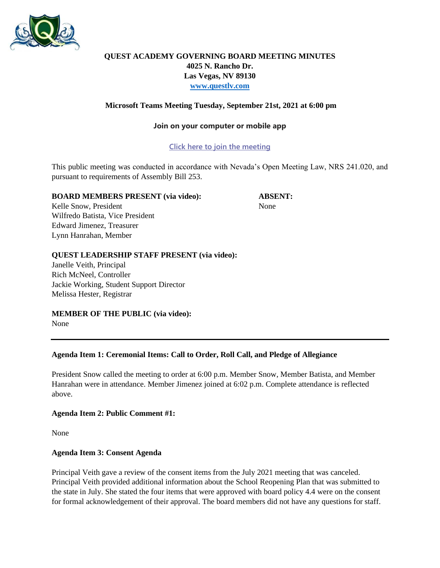

# **QUEST ACADEMY GOVERNING BOARD MEETING MINUTES 4025 N. Rancho Dr. Las Vegas, NV 89130 [www.questlv.com](http://www.questlv.com/)**

# **Microsoft Teams Meeting Tuesday, September 21st, 2021 at 6:00 pm**

#### **Join on your computer or mobile app**

## **[Click here to join the meeting](https://teams.microsoft.com/l/meetup-join/19%3a45c2879e2214457e9ad280a8c28e9a6c%40thread.tacv2/1612834492757?context=%7b%22Tid%22%3a%227a4ff53f-4916-461e-8a03-1ade560cd7bf%22%2c%22Oid%22%3a%22f7f24eac-ff27-43e4-9d30-fdd3fe4a177f%22%7d)**

This public meeting was conducted in accordance with Nevada's Open Meeting Law, NRS 241.020, and pursuant to requirements of Assembly Bill 253.

## **BOARD MEMBERS PRESENT (via video): ABSENT:**

Kelle Snow, President None Wilfredo Batista, Vice President Edward Jimenez, Treasurer Lynn Hanrahan, Member

## **QUEST LEADERSHIP STAFF PRESENT (via video):**

Janelle Veith, Principal Rich McNeel, Controller Jackie Working, Student Support Director Melissa Hester, Registrar

**MEMBER OF THE PUBLIC (via video):** None

#### **Agenda Item 1: Ceremonial Items: Call to Order, Roll Call, and Pledge of Allegiance**

President Snow called the meeting to order at 6:00 p.m. Member Snow, Member Batista, and Member Hanrahan were in attendance. Member Jimenez joined at 6:02 p.m. Complete attendance is reflected above.

#### **Agenda Item 2: Public Comment #1:**

None

#### **Agenda Item 3: Consent Agenda**

Principal Veith gave a review of the consent items from the July 2021 meeting that was canceled. Principal Veith provided additional information about the School Reopening Plan that was submitted to the state in July. She stated the four items that were approved with board policy 4.4 were on the consent for formal acknowledgement of their approval. The board members did not have any questions for staff.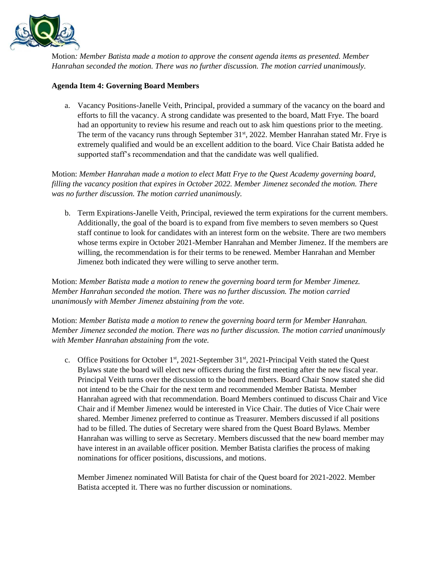

Motion*: Member Batista made a motion to approve the consent agenda items as presented. Member Hanrahan seconded the motion. There was no further discussion. The motion carried unanimously.* 

## **Agenda Item 4: Governing Board Members**

a. Vacancy Positions-Janelle Veith, Principal, provided a summary of the vacancy on the board and efforts to fill the vacancy. A strong candidate was presented to the board, Matt Frye. The board had an opportunity to review his resume and reach out to ask him questions prior to the meeting. The term of the vacancy runs through September  $31<sup>st</sup>$ , 2022. Member Hanrahan stated Mr. Frye is extremely qualified and would be an excellent addition to the board. Vice Chair Batista added he supported staff's recommendation and that the candidate was well qualified.

Motion: *Member Hanrahan made a motion to elect Matt Frye to the Quest Academy governing board, filling the vacancy position that expires in October 2022. Member Jimenez seconded the motion. There was no further discussion. The motion carried unanimously.*

b. Term Expirations-Janelle Veith, Principal, reviewed the term expirations for the current members. Additionally, the goal of the board is to expand from five members to seven members so Quest staff continue to look for candidates with an interest form on the website. There are two members whose terms expire in October 2021-Member Hanrahan and Member Jimenez. If the members are willing, the recommendation is for their terms to be renewed. Member Hanrahan and Member Jimenez both indicated they were willing to serve another term.

Motion: *Member Batista made a motion to renew the governing board term for Member Jimenez. Member Hanrahan seconded the motion. There was no further discussion. The motion carried unanimously with Member Jimenez abstaining from the vote.*

Motion: *Member Batista made a motion to renew the governing board term for Member Hanrahan. Member Jimenez seconded the motion. There was no further discussion. The motion carried unanimously with Member Hanrahan abstaining from the vote.*

c. Office Positions for October  $1^{st}$ , 2021-September  $31^{st}$ , 2021-Principal Veith stated the Quest Bylaws state the board will elect new officers during the first meeting after the new fiscal year. Principal Veith turns over the discussion to the board members. Board Chair Snow stated she did not intend to be the Chair for the next term and recommended Member Batista. Member Hanrahan agreed with that recommendation. Board Members continued to discuss Chair and Vice Chair and if Member Jimenez would be interested in Vice Chair. The duties of Vice Chair were shared. Member Jimenez preferred to continue as Treasurer. Members discussed if all positions had to be filled. The duties of Secretary were shared from the Quest Board Bylaws. Member Hanrahan was willing to serve as Secretary. Members discussed that the new board member may have interest in an available officer position. Member Batista clarifies the process of making nominations for officer positions, discussions, and motions.

Member Jimenez nominated Will Batista for chair of the Quest board for 2021-2022. Member Batista accepted it. There was no further discussion or nominations.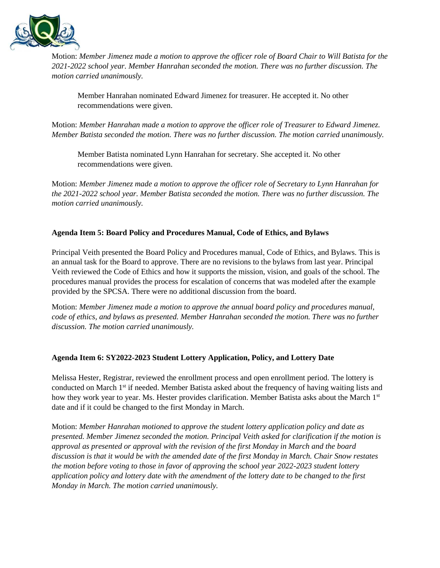

Motion: *Member Jimenez made a motion to approve the officer role of Board Chair to Will Batista for the 2021-2022 school year. Member Hanrahan seconded the motion. There was no further discussion. The motion carried unanimously.*

Member Hanrahan nominated Edward Jimenez for treasurer. He accepted it. No other recommendations were given.

Motion: *Member Hanrahan made a motion to approve the officer role of Treasurer to Edward Jimenez. Member Batista seconded the motion. There was no further discussion. The motion carried unanimously.*

Member Batista nominated Lynn Hanrahan for secretary. She accepted it. No other recommendations were given.

Motion: *Member Jimenez made a motion to approve the officer role of Secretary to Lynn Hanrahan for the 2021-2022 school year. Member Batista seconded the motion. There was no further discussion. The motion carried unanimously.*

# **Agenda Item 5: Board Policy and Procedures Manual, Code of Ethics, and Bylaws**

Principal Veith presented the Board Policy and Procedures manual, Code of Ethics, and Bylaws. This is an annual task for the Board to approve. There are no revisions to the bylaws from last year. Principal Veith reviewed the Code of Ethics and how it supports the mission, vision, and goals of the school. The procedures manual provides the process for escalation of concerns that was modeled after the example provided by the SPCSA. There were no additional discussion from the board.

Motion: *Member Jimenez made a motion to approve the annual board policy and procedures manual, code of ethics, and bylaws as presented. Member Hanrahan seconded the motion. There was no further discussion. The motion carried unanimously.*

#### **Agenda Item 6: SY2022-2023 Student Lottery Application, Policy, and Lottery Date**

Melissa Hester, Registrar, reviewed the enrollment process and open enrollment period. The lottery is conducted on March 1st if needed. Member Batista asked about the frequency of having waiting lists and how they work year to year. Ms. Hester provides clarification. Member Batista asks about the March 1st date and if it could be changed to the first Monday in March.

Motion: *Member Hanrahan motioned to approve the student lottery application policy and date as presented. Member Jimenez seconded the motion. Principal Veith asked for clarification if the motion is approval as presented or approval with the revision of the first Monday in March and the board discussion is that it would be with the amended date of the first Monday in March. Chair Snow restates the motion before voting to those in favor of approving the school year 2022-2023 student lottery application policy and lottery date with the amendment of the lottery date to be changed to the first Monday in March. The motion carried unanimously.*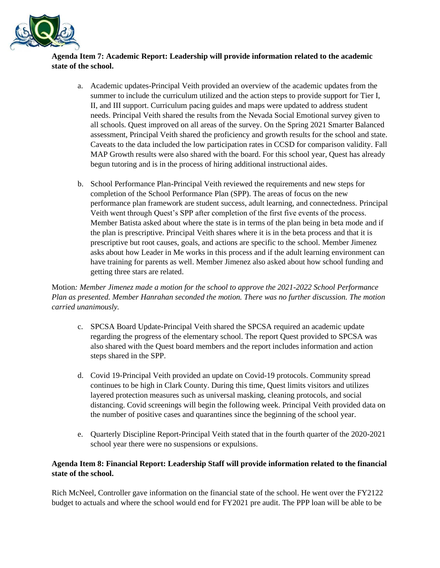

# **Agenda Item 7: Academic Report: Leadership will provide information related to the academic state of the school.**

- a. Academic updates-Principal Veith provided an overview of the academic updates from the summer to include the curriculum utilized and the action steps to provide support for Tier I, II, and III support. Curriculum pacing guides and maps were updated to address student needs. Principal Veith shared the results from the Nevada Social Emotional survey given to all schools. Quest improved on all areas of the survey. On the Spring 2021 Smarter Balanced assessment, Principal Veith shared the proficiency and growth results for the school and state. Caveats to the data included the low participation rates in CCSD for comparison validity. Fall MAP Growth results were also shared with the board. For this school year, Quest has already begun tutoring and is in the process of hiring additional instructional aides.
- b. School Performance Plan-Principal Veith reviewed the requirements and new steps for completion of the School Performance Plan (SPP). The areas of focus on the new performance plan framework are student success, adult learning, and connectedness. Principal Veith went through Quest's SPP after completion of the first five events of the process. Member Batista asked about where the state is in terms of the plan being in beta mode and if the plan is prescriptive. Principal Veith shares where it is in the beta process and that it is prescriptive but root causes, goals, and actions are specific to the school. Member Jimenez asks about how Leader in Me works in this process and if the adult learning environment can have training for parents as well. Member Jimenez also asked about how school funding and getting three stars are related.

Motion*: Member Jimenez made a motion for the school to approve the 2021-2022 School Performance Plan as presented. Member Hanrahan seconded the motion. There was no further discussion. The motion carried unanimously.* 

- c. SPCSA Board Update-Principal Veith shared the SPCSA required an academic update regarding the progress of the elementary school. The report Quest provided to SPCSA was also shared with the Quest board members and the report includes information and action steps shared in the SPP.
- d. Covid 19-Principal Veith provided an update on Covid-19 protocols. Community spread continues to be high in Clark County. During this time, Quest limits visitors and utilizes layered protection measures such as universal masking, cleaning protocols, and social distancing. Covid screenings will begin the following week. Principal Veith provided data on the number of positive cases and quarantines since the beginning of the school year.
- e. Quarterly Discipline Report-Principal Veith stated that in the fourth quarter of the 2020-2021 school year there were no suspensions or expulsions.

# **Agenda Item 8: Financial Report: Leadership Staff will provide information related to the financial state of the school.**

Rich McNeel, Controller gave information on the financial state of the school. He went over the FY2122 budget to actuals and where the school would end for FY2021 pre audit. The PPP loan will be able to be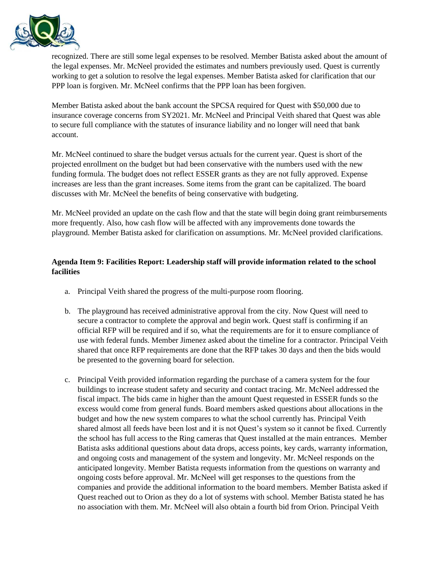

recognized. There are still some legal expenses to be resolved. Member Batista asked about the amount of the legal expenses. Mr. McNeel provided the estimates and numbers previously used. Quest is currently working to get a solution to resolve the legal expenses. Member Batista asked for clarification that our PPP loan is forgiven. Mr. McNeel confirms that the PPP loan has been forgiven.

Member Batista asked about the bank account the SPCSA required for Quest with \$50,000 due to insurance coverage concerns from SY2021. Mr. McNeel and Principal Veith shared that Quest was able to secure full compliance with the statutes of insurance liability and no longer will need that bank account.

Mr. McNeel continued to share the budget versus actuals for the current year. Quest is short of the projected enrollment on the budget but had been conservative with the numbers used with the new funding formula. The budget does not reflect ESSER grants as they are not fully approved. Expense increases are less than the grant increases. Some items from the grant can be capitalized. The board discusses with Mr. McNeel the benefits of being conservative with budgeting.

Mr. McNeel provided an update on the cash flow and that the state will begin doing grant reimbursements more frequently. Also, how cash flow will be affected with any improvements done towards the playground. Member Batista asked for clarification on assumptions. Mr. McNeel provided clarifications.

# **Agenda Item 9: Facilities Report: Leadership staff will provide information related to the school facilities**

- a. Principal Veith shared the progress of the multi-purpose room flooring.
- b. The playground has received administrative approval from the city. Now Quest will need to secure a contractor to complete the approval and begin work. Quest staff is confirming if an official RFP will be required and if so, what the requirements are for it to ensure compliance of use with federal funds. Member Jimenez asked about the timeline for a contractor. Principal Veith shared that once RFP requirements are done that the RFP takes 30 days and then the bids would be presented to the governing board for selection.
- c. Principal Veith provided information regarding the purchase of a camera system for the four buildings to increase student safety and security and contact tracing. Mr. McNeel addressed the fiscal impact. The bids came in higher than the amount Quest requested in ESSER funds so the excess would come from general funds. Board members asked questions about allocations in the budget and how the new system compares to what the school currently has. Principal Veith shared almost all feeds have been lost and it is not Quest's system so it cannot be fixed. Currently the school has full access to the Ring cameras that Quest installed at the main entrances. Member Batista asks additional questions about data drops, access points, key cards, warranty information, and ongoing costs and management of the system and longevity. Mr. McNeel responds on the anticipated longevity. Member Batista requests information from the questions on warranty and ongoing costs before approval. Mr. McNeel will get responses to the questions from the companies and provide the additional information to the board members. Member Batista asked if Quest reached out to Orion as they do a lot of systems with school. Member Batista stated he has no association with them. Mr. McNeel will also obtain a fourth bid from Orion. Principal Veith